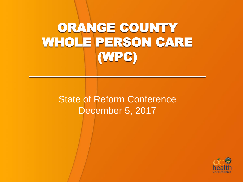## ORANGE COUNTY WHOLE PERSON CARE (WPC)  $\frac{1}{2}$  ,  $\frac{1}{2}$  ,  $\frac{1}{2}$  ,  $\frac{1}{2}$  ,  $\frac{1}{2}$  ,  $\frac{1}{2}$  ,  $\frac{1}{2}$  ,  $\frac{1}{2}$  ,  $\frac{1}{2}$  ,  $\frac{1}{2}$  ,  $\frac{1}{2}$  ,  $\frac{1}{2}$  ,  $\frac{1}{2}$  ,  $\frac{1}{2}$

State of Reform Conference December 5, 2017

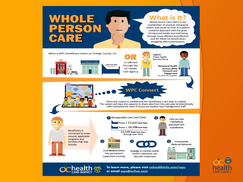

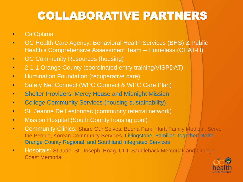## COLLABORATIVE PARTNERS

- CalOptima
- OC Health Care Agency: Behavioral Health Services (BHS) & Public Health's Comprehensive Assessment Team – Homeless (CHAT-H)
- OC Community Resources (housing)
- 2-1-1 Orange County (coordinated entry training/VISPDAT)
- Illumination Foundation (recuperative care)
- Safety Net Connect (WPC Connect & WPC Care Plan)
- Shelter Providers: Mercy House and Midnight Mission
- College Community Services (housing sustainability)
- St. Jeanne De Lestonnac (community referral network)
- Mission Hospital (South County housing pool)
- Community Clinics: Share Our Selves, Buena Park, Hurtt Family Medical, Serve the People, Korean Community Services, Livingstone, Families Together, North Orange County Regional, and Southland Integrated Services
- **Hospitals: St Jude, St. Joseph, Hoag, UCI, Saddleback Memorial, and Orange** Coast Memorial

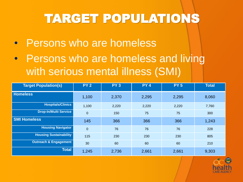# TARGET POPULATIONS

- Persons who are homeless
- Persons who are homeless and living with serious mental illness (SMI)

| <b>Target Population(s)</b>      | <b>PY 2</b>      | <b>PY3</b> | <b>PY4</b> | <b>PY 5</b> | <b>Total</b> |
|----------------------------------|------------------|------------|------------|-------------|--------------|
| <b>Homeless</b>                  | 1,100            | 2,370      | 2,295      | 2,295       | 8,060        |
| <b>Hospitals/Clinics</b>         | 1,100            | 2,220      | 2,220      | 2,220       | 7,760        |
| <b>Drop-In/Multi Service</b>     | $\boldsymbol{0}$ | 150        | 75         | 75          | 300          |
| <b>SMI Homeless</b>              | 145              | 366        | 366        | 366         | 1,243        |
| <b>Housing Navigator</b>         | $\boldsymbol{0}$ | 76         | 76         | 76          | 228          |
| <b>Housing Sustainability</b>    | 115              | 230        | 230        | 230         | 805          |
| <b>Outreach &amp; Engagement</b> | 30               | 60         | 60         | 60          | 210          |
| <b>Total</b>                     | 1,245            | 2,736      | 2,661      | 2,661       | 9,303        |

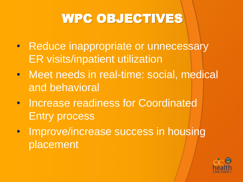## WPC OBJECTIVES

- Reduce inappropriate or unnecessary ER visits/inpatient utilization
- Meet needs in real-time: social, medical and behavioral
- Increase readiness for Coordinated Entry process
- Improve/increase success in housing placement

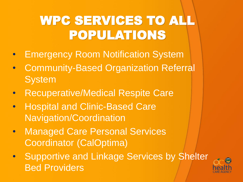## WPC SERVICES TO ALL POPULATIONS

- **Emergency Room Notification System**
- Community-Based Organization Referral **System**
- **Recuperative/Medical Respite Care**
- Hospital and Clinic-Based Care Navigation/Coordination
- Managed Care Personal Services Coordinator (CalOptima)
- **Supportive and Linkage Services by Shelter** Bed Providers

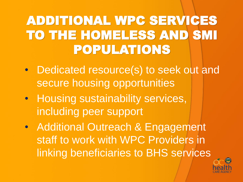## ADDITIONAL WPC SERVICES TO THE HOMELESS AND SMI POPULATIONS

- Dedicated resource(s) to seek out and secure housing opportunities
- Housing sustainability services, including peer support
- Additional Outreach & Engagement staff to work with WPC Providers in linking beneficiaries to BHS services

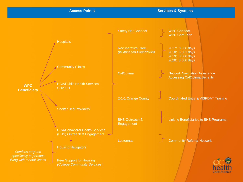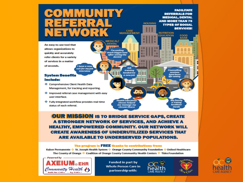# CASE<br>MANAGEMENT

suit for my job

*interview* 

An easy-to-use tool that allows organizations to quickly and accurately refer clients for a variety of services in a matter of seconds. I have a new

### **System Benefits** Include:

- Comprehensive Client Health Data Management, for tracking and reporting.
- Improved referral case management with easy user interface.
- ♦ Fully integrated workflow provides real-time status of each referral.

**OUR MISSION IS TO BRIDGE SERVICE GAPS, CREATE** A STRONGER NETWORK OF SERVICES, AND ACHIEVE A **HEALTHY, EMPOWERED COMMUNITY, OUR NETWORK WILL CREATE AWARENESS OF UNDERUTILIZED SERVICES THAT ARE AVAILABLE TO UNDERSERVED POPULATIONS.** 

**MEDICAL/ DENTAL** 

*I'm smiling* much bigger now<br>after seeing the<br>all dentist

Job

training

landed me

a new job

**Health education** 

classes helped me manage my

**chronicillness** 

#### The program is FREE thanks to contributions from:

Kaiser Permanente · St. Joseph Health System · Grange County Community Foundation · United Healthcare The County of Orange ❖ Coalition of Orange County Community Health Centers ❖ Tides Foundation



**Funded in part by Whole Person Care in** partnership with:



**FACILITATE REFERRALS FOR MEDICAL, DENTAL AND MORETHAN 75** 

**SERVICES!** 

**FOOD** 

**BANK** 

**TYPES OF SOCIAL** 

Counselling

**sessions** 

have been

life-saving

**My family** 

is eating

healthier

meals

**NUTRITION EDUCATION** 

**HOUSING** 

ш

ш

п

◨

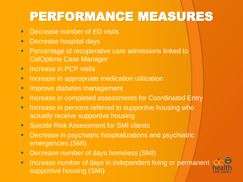# PERFORMANCE MEASURES

- **E** Decrease number of ED visits
- **E** Decrease hospital days
- **Percentage of recuperative care admissions linked to** CalOptima Case Manager
- **E** Increase in PCP visits
- **E** Increase in appropriate medication utilization
- **E** Improve diabetes management
- **E** Increase in completed assessments for Coordinated Entry
- **E** Increase in persons referred to supportive housing who actually receive supportive housing
- **E** Suicide Risk Assessment for SMI clients
- **Decrease in psychiatric hospitalizations and psychiatric** emergencies (SMI)
- **E** Decrease number of days homeless (SMI)
- **E** Increase number of days in independent living or permanent supportive housing (SMI)